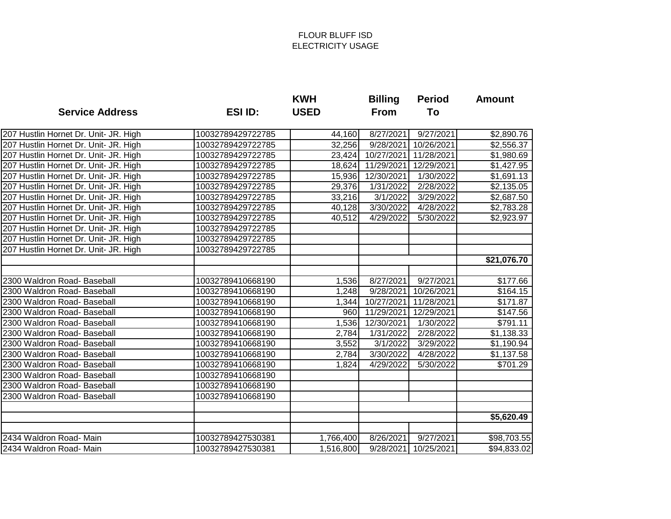|                                       |                   | <b>KWH</b>  | <b>Billing</b> | <b>Period</b>      | <b>Amount</b>        |
|---------------------------------------|-------------------|-------------|----------------|--------------------|----------------------|
| <b>Service Address</b>                | <b>ESI ID:</b>    | <b>USED</b> | <b>From</b>    | To                 |                      |
| 207 Hustlin Hornet Dr. Unit- JR. High | 10032789429722785 | 44,160      | 8/27/2021      | 9/27/2021          | \$2,890.76           |
| 207 Hustlin Hornet Dr. Unit- JR. High | 10032789429722785 | 32,256      | 9/28/2021      | 10/26/2021         | \$2,556.37           |
| 207 Hustlin Hornet Dr. Unit- JR. High | 10032789429722785 | 23,424      | 10/27/2021     | 11/28/2021         | \$1,980.69           |
| 207 Hustlin Hornet Dr. Unit- JR. High | 10032789429722785 | 18,624      | 11/29/2021     | 12/29/2021         | \$1,427.95           |
| 207 Hustlin Hornet Dr. Unit- JR. High | 10032789429722785 | 15,936      | 12/30/2021     | 1/30/2022          | \$1,691.13           |
| 207 Hustlin Hornet Dr. Unit- JR. High | 10032789429722785 | 29,376      | 1/31/2022      | 2/28/2022          | \$2,135.05           |
| 207 Hustlin Hornet Dr. Unit- JR. High | 10032789429722785 | 33,216      | 3/1/2022       | 3/29/2022          | \$2,687.50           |
| 207 Hustlin Hornet Dr. Unit- JR. High | 10032789429722785 | 40,128      | 3/30/2022      | 4/28/2022          | \$2,783.28           |
| 207 Hustlin Hornet Dr. Unit- JR. High | 10032789429722785 | 40,512      | 4/29/2022      | 5/30/2022          | \$2,923.97           |
| 207 Hustlin Hornet Dr. Unit- JR. High | 10032789429722785 |             |                |                    |                      |
| 207 Hustlin Hornet Dr. Unit- JR. High | 10032789429722785 |             |                |                    |                      |
| 207 Hustlin Hornet Dr. Unit- JR. High | 10032789429722785 |             |                |                    |                      |
|                                       |                   |             |                |                    | \$21,076.70          |
|                                       |                   |             |                |                    |                      |
| 2300 Waldron Road- Baseball           | 10032789410668190 | 1,536       | 8/27/2021      | $\sqrt{9}/27/2021$ | $\overline{$}177.66$ |
| 2300 Waldron Road- Baseball           | 10032789410668190 | 1,248       | 9/28/2021      | 10/26/2021         | \$164.15             |
| 2300 Waldron Road- Baseball           | 10032789410668190 | 1,344       | 10/27/2021     | 11/28/2021         | \$171.87             |
| 2300 Waldron Road- Baseball           | 10032789410668190 | 960         | 11/29/2021     | 12/29/2021         | \$147.56             |
| 2300 Waldron Road- Baseball           | 10032789410668190 | 1,536       | 12/30/2021     | 1/30/2022          | \$791.11             |
| 2300 Waldron Road- Baseball           | 10032789410668190 | 2,784       | 1/31/2022      | 2/28/2022          | \$1,138.33           |
| 2300 Waldron Road- Baseball           | 10032789410668190 | 3,552       | 3/1/2022       | 3/29/2022          | \$1,190.94           |
| 2300 Waldron Road- Baseball           | 10032789410668190 | 2,784       | 3/30/2022      | 4/28/2022          | \$1,137.58           |
| 2300 Waldron Road- Baseball           | 10032789410668190 | 1,824       | 4/29/2022      | 5/30/2022          | \$701.29             |
| 2300 Waldron Road- Baseball           | 10032789410668190 |             |                |                    |                      |
| 2300 Waldron Road- Baseball           | 10032789410668190 |             |                |                    |                      |
| 2300 Waldron Road- Baseball           | 10032789410668190 |             |                |                    |                      |
|                                       |                   |             |                |                    | \$5,620.49           |
| 2434 Waldron Road- Main               | 10032789427530381 | 1,766,400   | 8/26/2021      | 9/27/2021          | \$98,703.55          |
| 2434 Waldron Road- Main               | 10032789427530381 | 1,516,800   | 9/28/2021      | 10/25/2021         | \$94,833.02          |
|                                       |                   |             |                |                    |                      |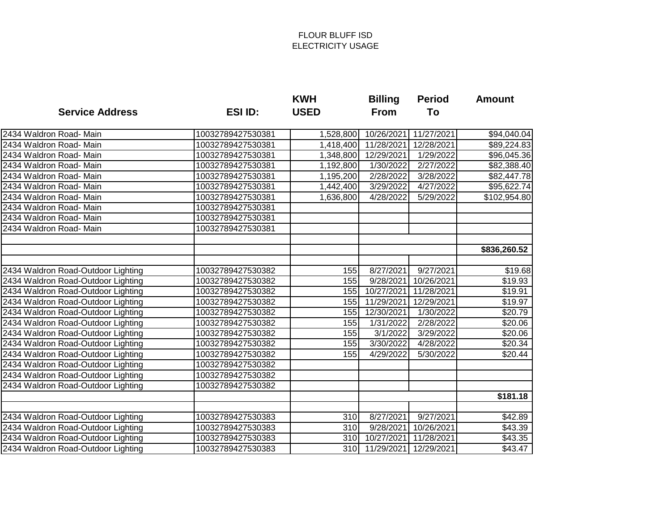|                                    |                   | <b>KWH</b>  | <b>Billing</b> | <b>Period</b>          | <b>Amount</b>       |
|------------------------------------|-------------------|-------------|----------------|------------------------|---------------------|
| <b>Service Address</b>             | <b>ESI ID:</b>    | <b>USED</b> | <b>From</b>    | To                     |                     |
| 2434 Waldron Road- Main            | 10032789427530381 | 1,528,800   | 10/26/2021     | 11/27/2021             | \$94,040.04         |
| 2434 Waldron Road- Main            | 10032789427530381 | 1,418,400   | 11/28/2021     | 12/28/2021             | \$89,224.83         |
| 2434 Waldron Road- Main            | 10032789427530381 | 1,348,800   | 12/29/2021     | 1/29/2022              | \$96,045.36         |
| 2434 Waldron Road- Main            | 10032789427530381 | 1,192,800   | 1/30/2022      | 2/27/2022              | \$82,388.40         |
| 2434 Waldron Road- Main            | 10032789427530381 | 1,195,200   | 2/28/2022      | 3/28/2022              | \$82,447.78         |
| 2434 Waldron Road- Main            | 10032789427530381 | 1,442,400   | 3/29/2022      | 4/27/2022              | \$95,622.74         |
| 2434 Waldron Road- Main            | 10032789427530381 | 1,636,800   | 4/28/2022      | 5/29/2022              | \$102,954.80        |
| 2434 Waldron Road- Main            | 10032789427530381 |             |                |                        |                     |
| 2434 Waldron Road- Main            | 10032789427530381 |             |                |                        |                     |
| 2434 Waldron Road- Main            | 10032789427530381 |             |                |                        |                     |
|                                    |                   |             |                |                        | \$836,260.52        |
|                                    |                   |             |                |                        |                     |
| 2434 Waldron Road-Outdoor Lighting | 10032789427530382 | 155         | 8/27/2021      | 9/27/2021              | \$19.68             |
| 2434 Waldron Road-Outdoor Lighting | 10032789427530382 | 155         | 9/28/2021      | 10/26/2021             | $\overline{$}19.93$ |
| 2434 Waldron Road-Outdoor Lighting | 10032789427530382 | 155         | 10/27/2021     | 11/28/2021             | \$19.91             |
| 2434 Waldron Road-Outdoor Lighting | 10032789427530382 | 155         | 11/29/2021     | 12/29/2021             | \$19.97             |
| 2434 Waldron Road-Outdoor Lighting | 10032789427530382 | 155         | 12/30/2021     | 1/30/2022              | \$20.79             |
| 2434 Waldron Road-Outdoor Lighting | 10032789427530382 | 155         | 1/31/2022      | $\overline{2/28/2022}$ | \$20.06             |
| 2434 Waldron Road-Outdoor Lighting | 10032789427530382 | 155         | 3/1/2022       | 3/29/2022              | \$20.06             |
| 2434 Waldron Road-Outdoor Lighting | 10032789427530382 | 155         | 3/30/2022      | 4/28/2022              | \$20.34             |
| 2434 Waldron Road-Outdoor Lighting | 10032789427530382 | 155         | 4/29/2022      | 5/30/2022              | \$20.44             |
| 2434 Waldron Road-Outdoor Lighting | 10032789427530382 |             |                |                        |                     |
| 2434 Waldron Road-Outdoor Lighting | 10032789427530382 |             |                |                        |                     |
| 2434 Waldron Road-Outdoor Lighting | 10032789427530382 |             |                |                        |                     |
|                                    |                   |             |                |                        | \$181.18            |
| 2434 Waldron Road-Outdoor Lighting | 10032789427530383 | 310         | 8/27/2021      | 9/27/2021              | \$42.89             |
| 2434 Waldron Road-Outdoor Lighting | 10032789427530383 | 310         | 9/28/2021      | 10/26/2021             | \$43.39             |
| 2434 Waldron Road-Outdoor Lighting | 10032789427530383 | 310         | 10/27/2021     | 11/28/2021             | \$43.35             |
| 2434 Waldron Road-Outdoor Lighting | 10032789427530383 |             | 310 11/29/2021 | 12/29/2021             | \$43.47             |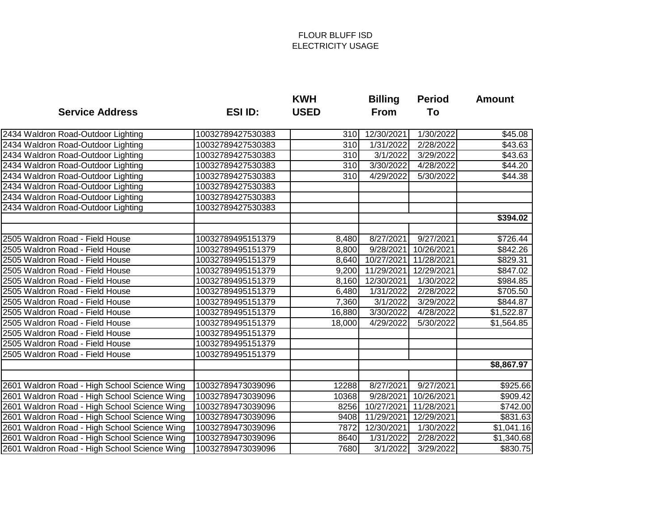|                                              |                   | <b>KWH</b>  | <b>Billing</b>        | <b>Period</b>          | <b>Amount</b> |
|----------------------------------------------|-------------------|-------------|-----------------------|------------------------|---------------|
| <b>Service Address</b>                       | <b>ESI ID:</b>    | <b>USED</b> | From                  | To                     |               |
| 2434 Waldron Road-Outdoor Lighting           | 10032789427530383 | 310         | 12/30/2021            | 1/30/2022              | \$45.08       |
| 2434 Waldron Road-Outdoor Lighting           | 10032789427530383 | 310         | 1/31/2022             | 2/28/2022              | \$43.63       |
| 2434 Waldron Road-Outdoor Lighting           | 10032789427530383 | 310         | 3/1/2022              | 3/29/2022              | \$43.63       |
| 2434 Waldron Road-Outdoor Lighting           | 10032789427530383 | 310         | 3/30/2022             | 4/28/2022              | \$44.20       |
| 2434 Waldron Road-Outdoor Lighting           | 10032789427530383 | 310         | 4/29/2022             | 5/30/2022              | \$44.38       |
| 2434 Waldron Road-Outdoor Lighting           | 10032789427530383 |             |                       |                        |               |
| 2434 Waldron Road-Outdoor Lighting           | 10032789427530383 |             |                       |                        |               |
| 2434 Waldron Road-Outdoor Lighting           | 10032789427530383 |             |                       |                        |               |
|                                              |                   |             |                       |                        | \$394.02      |
| 2505 Waldron Road - Field House              | 10032789495151379 | 8,480       | 8/27/2021             | 9/27/2021              | \$726.44      |
| 2505 Waldron Road - Field House              | 10032789495151379 | 8,800       | 9/28/2021             | 10/26/2021             | \$842.26      |
| 2505 Waldron Road - Field House              | 10032789495151379 | 8,640       | 10/27/2021            | 11/28/2021             | \$829.31      |
| 2505 Waldron Road - Field House              | 10032789495151379 | 9,200       | 11/29/2021            | 12/29/2021             | \$847.02      |
| 2505 Waldron Road - Field House              | 10032789495151379 | 8,160       | 12/30/2021            | 1/30/2022              | \$984.85      |
| 2505 Waldron Road - Field House              | 10032789495151379 | 6,480       | 1/31/2022             | 2/28/2022              | \$705.50      |
| 2505 Waldron Road - Field House              | 10032789495151379 | 7,360       | $\overline{3}/1/2022$ | 3/29/2022              | \$844.87      |
| 2505 Waldron Road - Field House              | 10032789495151379 | 16,880      | 3/30/2022             | 4/28/2022              | \$1,522.87    |
| 2505 Waldron Road - Field House              | 10032789495151379 | 18,000      | 4/29/2022             | 5/30/2022              | \$1,564.85    |
| 2505 Waldron Road - Field House              | 10032789495151379 |             |                       |                        |               |
| 2505 Waldron Road - Field House              | 10032789495151379 |             |                       |                        |               |
| 2505 Waldron Road - Field House              | 10032789495151379 |             |                       |                        |               |
|                                              |                   |             |                       |                        | \$8,867.97    |
|                                              |                   |             |                       |                        |               |
| 2601 Waldron Road - High School Science Wing | 10032789473039096 | 12288       | $\sqrt{8}/27/2021$    | $\overline{9/27/2021}$ | \$925.66      |
| 2601 Waldron Road - High School Science Wing | 10032789473039096 | 10368       | 9/28/2021             | 10/26/2021             | \$909.42      |
| 2601 Waldron Road - High School Science Wing | 10032789473039096 | 8256        | 10/27/2021            | 11/28/2021             | \$742.00      |
| 2601 Waldron Road - High School Science Wing | 10032789473039096 | 9408        | 11/29/2021            | 12/29/2021             | \$831.63      |
| 2601 Waldron Road - High School Science Wing | 10032789473039096 | 7872        | 12/30/2021            | 1/30/2022              | \$1,041.16    |
| 2601 Waldron Road - High School Science Wing | 10032789473039096 | 8640        | 1/31/2022             | 2/28/2022              | \$1,340.68    |
| 2601 Waldron Road - High School Science Wing | 10032789473039096 | 7680        | 3/1/2022              | 3/29/2022              | \$830.75      |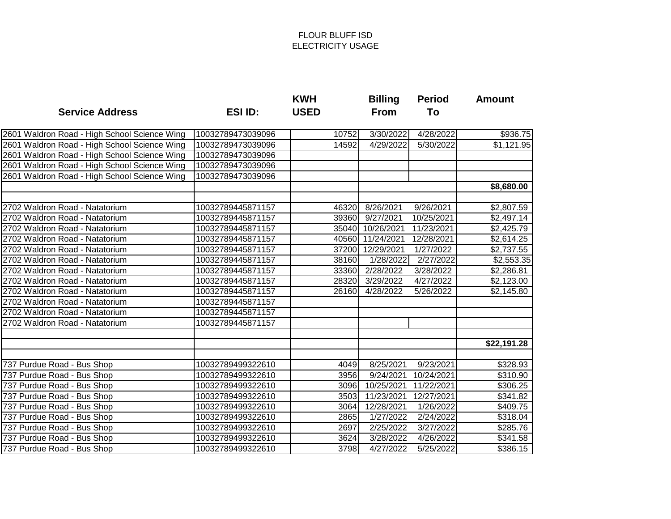|                                              |                   | <b>KWH</b>  | <b>Billing</b>   | <b>Period</b>       | <b>Amount</b>        |
|----------------------------------------------|-------------------|-------------|------------------|---------------------|----------------------|
| <b>Service Address</b>                       | <b>ESI ID:</b>    | <b>USED</b> | <b>From</b>      | To                  |                      |
| 2601 Waldron Road - High School Science Wing | 10032789473039096 | 10752       | 3/30/2022        | 4/28/2022           | $\overline{$}936.75$ |
| 2601 Waldron Road - High School Science Wing | 10032789473039096 | 14592       | 4/29/2022        | 5/30/2022           | \$1,121.95           |
| 2601 Waldron Road - High School Science Wing | 10032789473039096 |             |                  |                     |                      |
| 2601 Waldron Road - High School Science Wing | 10032789473039096 |             |                  |                     |                      |
| 2601 Waldron Road - High School Science Wing | 10032789473039096 |             |                  |                     |                      |
|                                              |                   |             |                  |                     | \$8,680.00           |
|                                              |                   |             |                  |                     |                      |
| 2702 Waldron Road - Natatorium               | 10032789445871157 | 46320       | 8/26/2021        | 9/26/2021           | \$2,807.59           |
| 2702 Waldron Road - Natatorium               | 10032789445871157 | 39360       | 9/27/2021        | 10/25/2021          | \$2,497.14           |
| 2702 Waldron Road - Natatorium               | 10032789445871157 |             | 35040 10/26/2021 | 11/23/2021          | \$2,425.79           |
| 2702 Waldron Road - Natatorium               | 10032789445871157 | 40560       | 11/24/2021       | 12/28/2021          | \$2,614.25           |
| 2702 Waldron Road - Natatorium               | 10032789445871157 | 37200       | 12/29/2021       | 1/27/2022           | \$2,737.55           |
| 2702 Waldron Road - Natatorium               | 10032789445871157 | 38160       | 1/28/2022        | 2/27/2022           | \$2,553.35           |
| 2702 Waldron Road - Natatorium               | 10032789445871157 | 33360       | 2/28/2022        | 3/28/2022           | \$2,286.81           |
| 2702 Waldron Road - Natatorium               | 10032789445871157 | 28320       | 3/29/2022        | $\frac{1}{27/2022}$ | \$2,123.00           |
| 2702 Waldron Road - Natatorium               | 10032789445871157 | 26160       | 4/28/2022        | 5/26/2022           | \$2,145.80           |
| 2702 Waldron Road - Natatorium               | 10032789445871157 |             |                  |                     |                      |
| 2702 Waldron Road - Natatorium               | 10032789445871157 |             |                  |                     |                      |
| 2702 Waldron Road - Natatorium               | 10032789445871157 |             |                  |                     |                      |
|                                              |                   |             |                  |                     | \$22,191.28          |
|                                              |                   |             |                  |                     |                      |
| 737 Purdue Road - Bus Shop                   | 10032789499322610 | 4049        | 8/25/2021        | 9/23/2021           | \$328.93             |
| 737 Purdue Road - Bus Shop                   | 10032789499322610 | 3956        | 9/24/2021        | 10/24/2021          | \$310.90             |
| 737 Purdue Road - Bus Shop                   | 10032789499322610 | 3096        | 10/25/2021       | 11/22/2021          | \$306.25             |
| 737 Purdue Road - Bus Shop                   | 10032789499322610 | 3503        | 11/23/2021       | 12/27/2021          | \$341.82             |
| 737 Purdue Road - Bus Shop                   | 10032789499322610 | 3064        | 12/28/2021       | 1/26/2022           | \$409.75             |
| 737 Purdue Road - Bus Shop                   | 10032789499322610 | 2865        | 1/27/2022        | 2/24/2022           | \$318.04             |
| 737 Purdue Road - Bus Shop                   | 10032789499322610 | 2697        | 2/25/2022        | 3/27/2022           | \$285.76             |
| 737 Purdue Road - Bus Shop                   | 10032789499322610 | 3624        | 3/28/2022        | 4/26/2022           | \$341.58             |
| 737 Purdue Road - Bus Shop                   | 10032789499322610 | 3798        | 4/27/2022        | 5/25/2022           | \$386.15             |